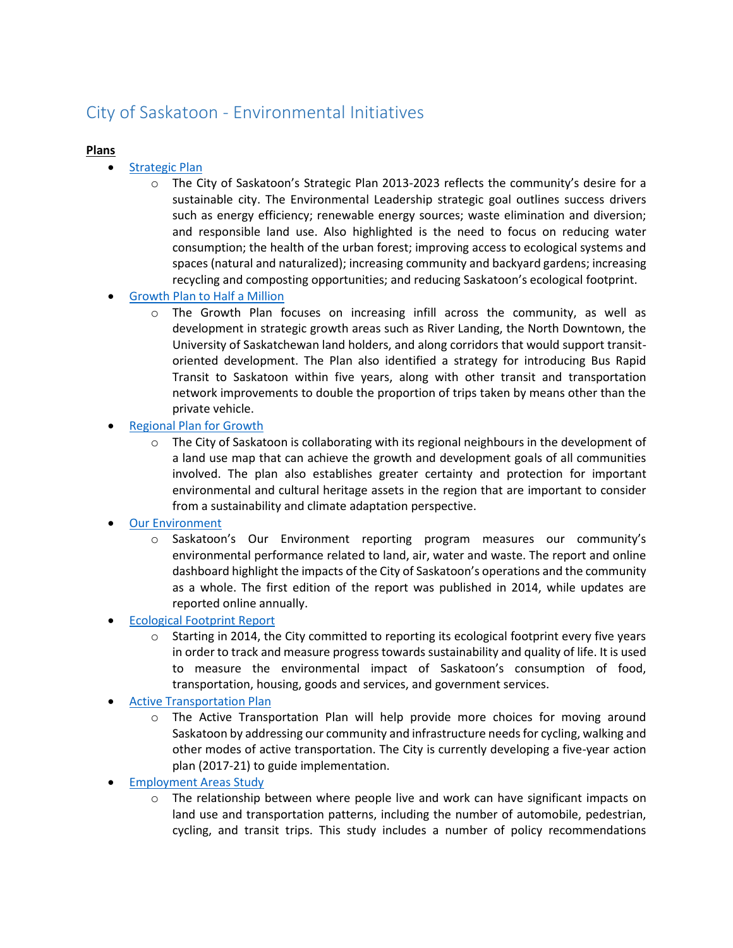## City of Saskatoon - Environmental Initiatives

## **Plans**

- [Strategic Plan](https://www.saskatoon.ca/business-development/planning/strategic-plan)
	- o The City of Saskatoon's Strategic Plan 2013-2023 reflects the community's desire for a sustainable city. The Environmental Leadership strategic goal outlines success drivers such as energy efficiency; renewable energy sources; waste elimination and diversion; and responsible land use. Also highlighted is the need to focus on reducing water consumption; the health of the urban forest; improving access to ecological systems and spaces (natural and naturalized); increasing community and backyard gardens; increasing recycling and composting opportunities; and reducing Saskatoon's ecological footprint.
- [Growth Plan to Half a Million](https://www.saskatoon.ca/business-development/planning/growth-plan-half-million)
	- $\circ$  The Growth Plan focuses on increasing infill across the community, as well as development in strategic growth areas such as River Landing, the North Downtown, the University of Saskatchewan land holders, and along corridors that would support transitoriented development. The Plan also identified a strategy for introducing Bus Rapid Transit to Saskatoon within five years, along with other transit and transportation network improvements to double the proportion of trips taken by means other than the private vehicle.
- [Regional Plan for Growth](http://www.partnershipforgrowth.ca/)
	- $\circ$  The City of Saskatoon is collaborating with its regional neighbours in the development of a land use map that can achieve the growth and development goals of all communities involved. The plan also establishes greater certainty and protection for important environmental and cultural heritage assets in the region that are important to consider from a sustainability and climate adaptation perspective.
- [Our Environment](https://www.saskatoon.ca/community-culture-heritage/environment/our-environment)
	- o Saskatoon's Our Environment reporting program measures our community's environmental performance related to land, air, water and waste. The report and online dashboard highlight the impacts of the City of Saskatoon's operations and the community as a whole. The first edition of the report was published in 2014, while updates are reported online annually.
- [Ecological Footprint Report](https://www.saskatoon.ca/sites/default/files/documents/corporate-performance/environmental-corporate-initiatives/community-environmental-programs/saskatoon_ef_city_report_2015_feb_28_2016_final.pdf)
	- $\circ$  Starting in 2014, the City committed to reporting its ecological footprint every five years in order to track and measure progress towards sustainability and quality of life. It is used to measure the environmental impact of Saskatoon's consumption of food, transportation, housing, goods and services, and government services.
- [Active Transportation Plan](https://www.saskatoon.ca/business-development/planning/growth-plan-half-million/active-transportation)
	- o The Active Transportation Plan will help provide more choices for moving around Saskatoon by addressing our community and infrastructure needs for cycling, walking and other modes of active transportation. The City is currently developing a five-year action plan (2017-21) to guide implementation.
- [Employment Areas Study](https://www.saskatoon.ca/business-development/planning/employment-areas)
	- $\circ$  The relationship between where people live and work can have significant impacts on land use and transportation patterns, including the number of automobile, pedestrian, cycling, and transit trips. This study includes a number of policy recommendations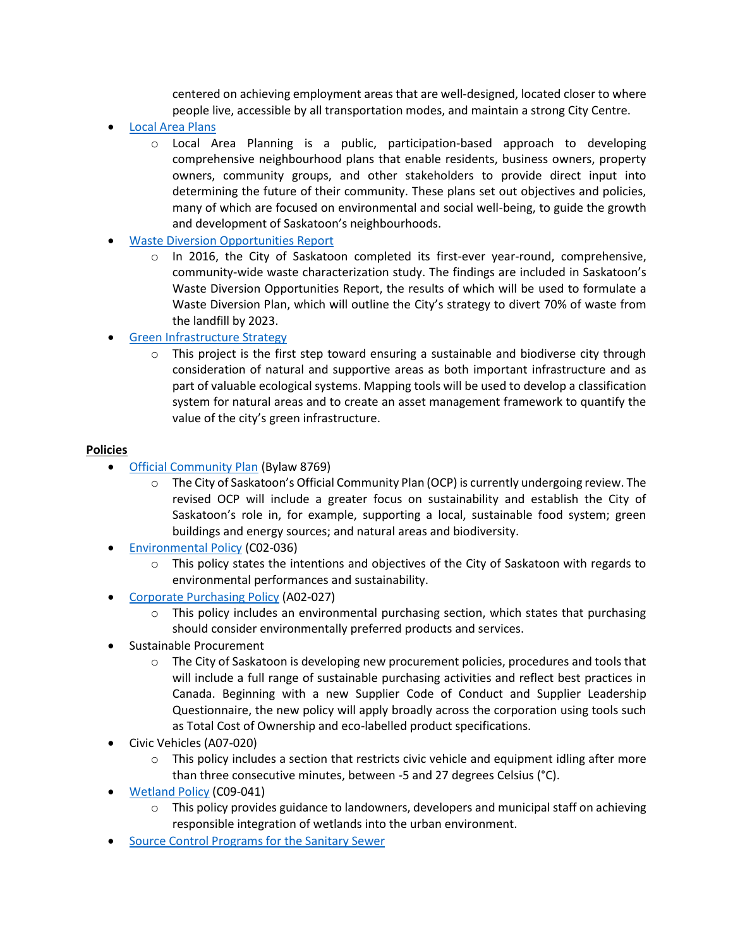centered on achieving employment areas that are well-designed, located closer to where people live, accessible by all transportation modes, and maintain a strong City Centre.

- [Local Area](https://www.saskatoon.ca/business-development/planning/neighbourhood-planning/local-area-planning) Plans
	- o Local Area Planning is a public, participation-based approach to developing comprehensive neighbourhood plans that enable residents, business owners, property owners, community groups, and other stakeholders to provide direct input into determining the future of their community. These plans set out objectives and policies, many of which are focused on environmental and social well-being, to guide the growth and development of Saskatoon's neighbourhoods.
- [Waste Diversion Opportunities Report](https://www.saskatoon.ca/sites/default/files/documents/corporate-performance/environmental-corporate-initiatives/waste-minimization/waste_diversion_opportunities_report_-_final.pdf)
	- $\circ$  In 2016, the City of Saskatoon completed its first-ever year-round, comprehensive, community-wide waste characterization study. The findings are included in Saskatoon's Waste Diversion Opportunities Report, the results of which will be used to formulate a Waste Diversion Plan, which will outline the City's strategy to divert 70% of waste from the landfill by 2023.
- [Green Infrastructure Strategy](https://www.saskatoon.ca/sites/default/files/documents/corporate-performance/environmental-corporate-initiatives/report_-_green_infrastructure_strategy_update.pdf)
	- o This project is the first step toward ensuring a sustainable and biodiverse city through consideration of natural and supportive areas as both important infrastructure and as part of valuable ecological systems. Mapping tools will be used to develop a classification system for natural areas and to create an asset management framework to quantify the value of the city's green infrastructure.

## **Policies**

- [Official Community Plan](https://www.saskatoon.ca/business-development/planning/community-plans-strategies/official-community-plan) (Bylaw 8769)
	- $\circ$  The City of Saskatoon's Official Community Plan (OCP) is currently undergoing review. The revised OCP will include a greater focus on sustainability and establish the City of Saskatoon's role in, for example, supporting a local, sustainable food system; green buildings and energy sources; and natural areas and biodiversity.
- [Environmental Policy](https://www.saskatoon.ca/sites/default/files/documents/city-clerk/civic-policies/C02-036.pdf) (C02-036)
	- $\circ$  This policy states the intentions and objectives of the City of Saskatoon with regards to environmental performances and sustainability.
- [Corporate Purchasing Policy](https://www.saskatoon.ca/city-hall/city-bylaws-policies/policies) (A02-027)
	- $\circ$  This policy includes an environmental purchasing section, which states that purchasing should consider environmentally preferred products and services.
- Sustainable Procurement
	- $\circ$  The City of Saskatoon is developing new procurement policies, procedures and tools that will include a full range of sustainable purchasing activities and reflect best practices in Canada. Beginning with a new Supplier Code of Conduct and Supplier Leadership Questionnaire, the new policy will apply broadly across the corporation using tools such as Total Cost of Ownership and eco-labelled product specifications.
- Civic Vehicles (A07-020)
	- o This policy includes a section that restricts civic vehicle and equipment idling after more than three consecutive minutes, between -5 and 27 degrees Celsius (°C).
- [Wetland Policy](https://www.saskatoon.ca/sites/default/files/documents/city-clerk/civic-policies/C09-041.pdf) (C09-041)
	- o This policy provides guidance to landowners, developers and municipal staff on achieving responsible integration of wetlands into the urban environment.
- [Source Control Programs](https://www.saskatoon.ca/services-residents/power-water/water-wastewater/sewer-use-bylaw) for the Sanitary Sewer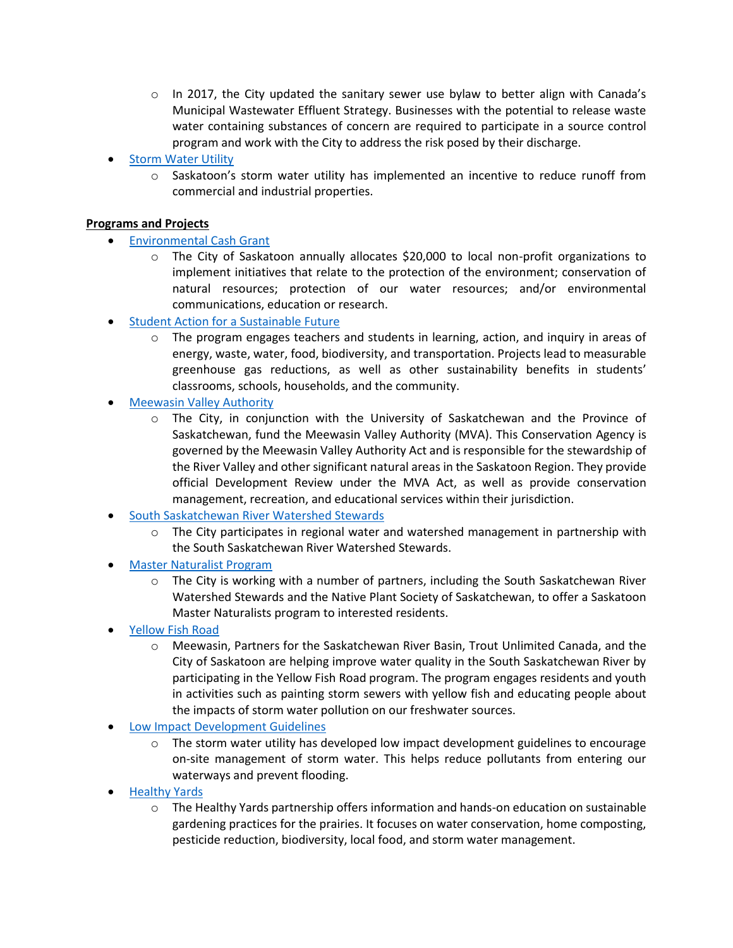- $\circ$  In 2017, the City updated the sanitary sewer use bylaw to better align with Canada's Municipal Wastewater Effluent Strategy. Businesses with the potential to release waste water containing substances of concern are required to participate in a source control program and work with the City to address the risk posed by their discharge.
- [Storm Water Utility](https://www.saskatoon.ca/services-residents/power-water/water-wastewater/storm-water/storm-water-utility)
	- $\circ$  Saskatoon's storm water utility has implemented an incentive to reduce runoff from commercial and industrial properties.

## **Programs and Projects**

- [Environmental Cash Grant](https://www.saskatoon.ca/community-culture-heritage/get-involved/grants)
	- o The City of Saskatoon annually allocates \$20,000 to local non-profit organizations to implement initiatives that relate to the protection of the environment; conservation of natural resources; protection of our water resources; and/or environmental communications, education or research.
- [Student Action for a Sustainable Future](https://www.saskatoon.ca/community-culture-heritage/our-environment/community-environmental-programs)
	- $\circ$  The program engages teachers and students in learning, action, and inquiry in areas of energy, waste, water, food, biodiversity, and transportation. Projects lead to measurable greenhouse gas reductions, as well as other sustainability benefits in students' classrooms, schools, households, and the community.
- [Meewasin Valley Authority](http://meewasin.com/)
	- $\circ$  The City, in conjunction with the University of Saskatchewan and the Province of Saskatchewan, fund the Meewasin Valley Authority (MVA). This Conservation Agency is governed by the Meewasin Valley Authority Act and is responsible for the stewardship of the River Valley and other significant natural areas in the Saskatoon Region. They provide official Development Review under the MVA Act, as well as provide conservation management, recreation, and educational services within their jurisdiction.
- [South Saskatchewan River Watershed Stewards](https://www.wsask.ca/) 
	- $\circ$  The City participates in regional water and watershed management in partnership with the South Saskatchewan River Watershed Stewards.
- [Master Naturalist Program](http://www.npss.sk.ca/news-and-events/9)
	- $\circ$  The City is working with a number of partners, including the South Saskatchewan River Watershed Stewards and the Native Plant Society of Saskatchewan, to offer a Saskatoon Master Naturalists program to interested residents.
- [Yellow Fish Road](http://meewasin.com/events/yellow-fish-road)
	- o Meewasin, Partners for the Saskatchewan River Basin, Trout Unlimited Canada, and the City of Saskatoon are helping improve water quality in the South Saskatchewan River by participating in the Yellow Fish Road program. The program engages residents and youth in activities such as painting storm sewers with yellow fish and educating people about the impacts of storm water pollution on our freshwater sources.
- [Low Impact Development Guidelines](https://www.saskatoon.ca/sites/default/files/documents/transportation-utilities/construction-design/new-neighbourhood-design/low_impact_development_design_guide.pdf)
	- $\circ$  The storm water utility has developed low impact development guidelines to encourage on-site management of storm water. This helps reduce pollutants from entering our waterways and prevent flooding.
- **[Healthy Yards](http://www.saskatoon.ca/healthyyards)** 
	- $\circ$  The Healthy Yards partnership offers information and hands-on education on sustainable gardening practices for the prairies. It focuses on water conservation, home composting, pesticide reduction, biodiversity, local food, and storm water management.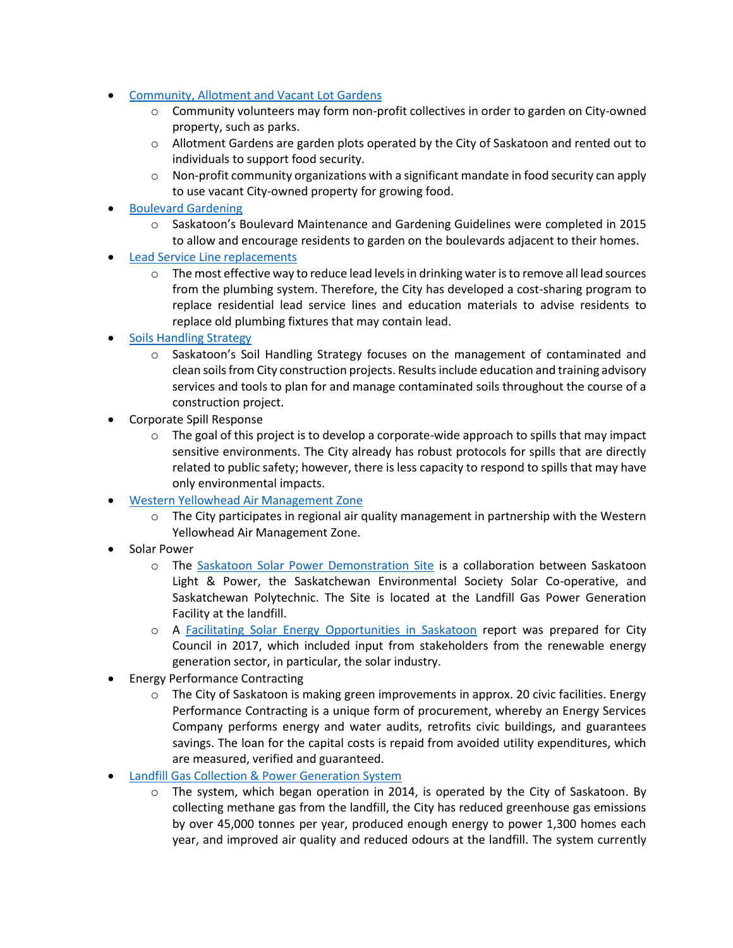- [Community, Allotment and Vacant Lot Gardens](https://www.saskatoon.ca/services-residents/housing-property/yard-garden/gardens)
	- o Community volunteers may form non-profit collectives in order to garden on City-owned property, such as parks.
	- $\circ$  Allotment Gardens are garden plots operated by the City of Saskatoon and rented out to individuals to support food security.
	- $\circ$  Non-profit community organizations with a significant mandate in food security can apply to use vacant City-owned property for growing food.
- [Boulevard Gardening](http://www.saskatoon.ca/boulevards)
	- o Saskatoon's Boulevard Maintenance and Gardening Guidelines were completed in 2015 to allow and encourage residents to garden on the boulevards adjacent to their homes.
- [Lead Service Line replacements](https://www.saskatoon.ca/services-residents/power-water/water-wastewater/drinking-water/lead-pipes-drinking-water)
	- $\circ$  The most effective way to reduce lead levels in drinking water is to remove all lead sources from the plumbing system. Therefore, the City has developed a cost-sharing program to replace residential lead service lines and education materials to advise residents to replace old plumbing fixtures that may contain lead.
- [Soils Handling Strategy](https://www.saskatoon.ca/community-culture-heritage/environment/soil-handling-strategy)
	- $\circ$  Saskatoon's Soil Handling Strategy focuses on the management of contaminated and clean soils from City construction projects. Results include education and training advisory services and tools to plan for and manage contaminated soils throughout the course of a construction project.
- Corporate Spill Response
	- $\circ$  The goal of this project is to develop a corporate-wide approach to spills that may impact sensitive environments. The City already has robust protocols for spills that are directly related to public safety; however, there is less capacity to respond to spills that may have only environmental impacts.
- [Western Yellowhead Air Management Zone](http://www.wyamz.ca/home/index.php)
	- The City participates in regional air quality management in partnership with the Western Yellowhead Air Management Zone.
- Solar Power
	- o The [Saskatoon Solar Power Demonstration Site](https://www.saskatoon.ca/services-residents/power-water/saskatoon-light-power/solar-power-demonstration-site-website) is a collaboration between Saskatoon Light & Power, the Saskatchewan Environmental Society Solar Co-operative, and Saskatchewan Polytechnic. The Site is located at the Landfill Gas Power Generation Facility at the landfill.
	- o A [Facilitating Solar Energy Opportunities in Saskatoon](https://apps2.saskatoon.ca/tpapp/eamm_public/Meeting?Id=d01676fb-3469-4339-b14b-523db22a21d3&Agenda=Agenda&lang=English#29) report was prepared for City Council in 2017, which included input from stakeholders from the renewable energy generation sector, in particular, the solar industry.
- Energy Performance Contracting
	- $\circ$  The City of Saskatoon is making green improvements in approx. 20 civic facilities. Energy Performance Contracting is a unique form of procurement, whereby an Energy Services Company performs energy and water audits, retrofits civic buildings, and guarantees savings. The loan for the capital costs is repaid from avoided utility expenditures, which are measured, verified and guaranteed.
- **[Landfill Gas Collection & Power Generation System](https://www.saskatoon.ca/services-residents/power-water/saskatoon-light-power/clean-power-generation-initiatives)** 
	- The system, which began operation in 2014, is operated by the City of Saskatoon. By collecting methane gas from the landfill, the City has reduced greenhouse gas emissions by over 45,000 tonnes per year, produced enough energy to power 1,300 homes each year, and improved air quality and reduced odours at the landfill. The system currently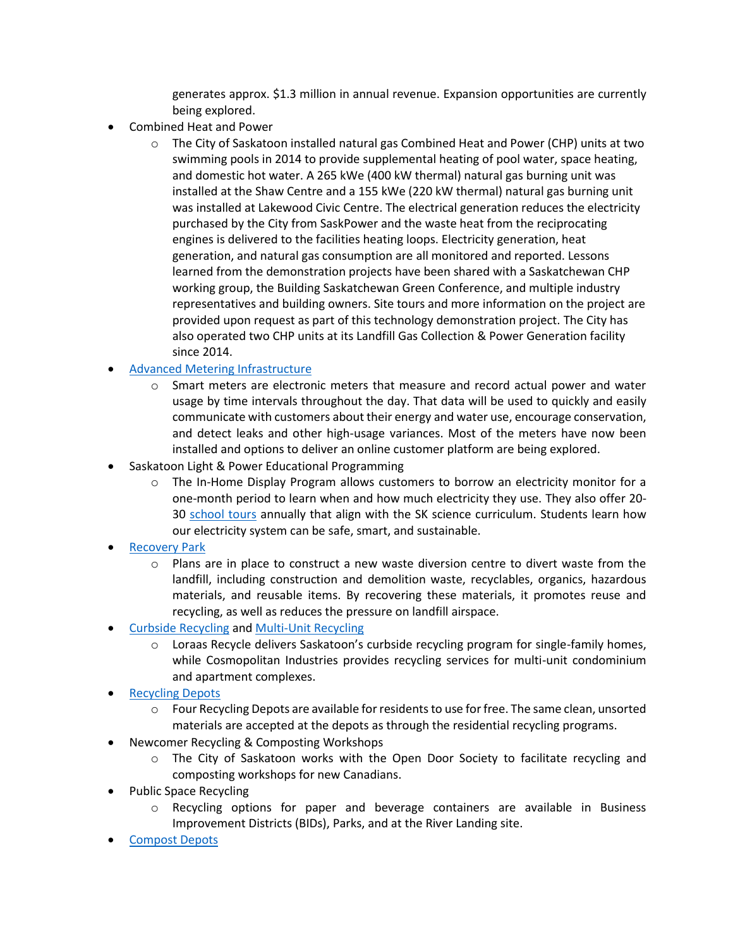generates approx. \$1.3 million in annual revenue. Expansion opportunities are currently being explored.

- Combined Heat and Power
	- $\circ$  The City of Saskatoon installed natural gas Combined Heat and Power (CHP) units at two swimming pools in 2014 to provide supplemental heating of pool water, space heating, and domestic hot water. A 265 kWe (400 kW thermal) natural gas burning unit was installed at the Shaw Centre and a 155 kWe (220 kW thermal) natural gas burning unit was installed at Lakewood Civic Centre. The electrical generation reduces the electricity purchased by the City from SaskPower and the waste heat from the reciprocating engines is delivered to the facilities heating loops. Electricity generation, heat generation, and natural gas consumption are all monitored and reported. Lessons learned from the demonstration projects have been shared with a Saskatchewan CHP working group, the Building Saskatchewan Green Conference, and multiple industry representatives and building owners. Site tours and more information on the project are provided upon request as part of this technology demonstration project. The City has also operated two CHP units at its Landfill Gas Collection & Power Generation facility since 2014.
- [Advanced Metering Infrastructure](https://www.saskatoon.ca/services-residents/power-water/saskatoon-light-power/smart-meters)
	- $\circ$  Smart meters are electronic meters that measure and record actual power and water usage by time intervals throughout the day. That data will be used to quickly and easily communicate with customers about their energy and water use, encourage conservation, and detect leaks and other high-usage variances. Most of the meters have now been installed and options to deliver an online customer platform are being explored.
- Saskatoon Light & Power Educational Programming
	- $\circ$  The In-Home Display Program allows customers to borrow an electricity monitor for a one-month period to learn when and how much electricity they use. They also offer 20- 30 [school tours](https://www.saskatoon.ca/services-residents/power-water/saskatoon-light-power/school-tours) annually that align with the SK science curriculum. Students learn how our electricity system can be safe, smart, and sustainable.
- [Recovery Park](https://www.saskatoon.ca/services-residents/waste-recycling/recycling/recovery-park)
	- $\circ$  Plans are in place to construct a new waste diversion centre to divert waste from the landfill, including construction and demolition waste, recyclables, organics, hazardous materials, and reusable items. By recovering these materials, it promotes reuse and recycling, as well as reduces the pressure on landfill airspace.
- [Curbside Recycling](https://www.saskatoon.ca/services-residents/waste-recycling/recycling) an[d Multi-Unit Recycling](https://www.saskatoon.ca/services-residents/waste-recycling/recycling)
	- $\circ$  Loraas Recycle delivers Saskatoon's curbside recycling program for single-family homes, while Cosmopolitan Industries provides recycling services for multi-unit condominium and apartment complexes.
- [Recycling Depots](https://www.saskatoon.ca/services-residents/waste-recycling/recycling/recycle-depots)
	- o Four Recycling Depots are available for residents to use for free. The same clean, unsorted materials are accepted at the depots as through the residential recycling programs.
- Newcomer Recycling & Composting Workshops
	- $\circ$  The City of Saskatoon works with the Open Door Society to facilitate recycling and composting workshops for new Canadians.
- Public Space Recycling
	- Recycling options for paper and beverage containers are available in Business Improvement Districts (BIDs), Parks, and at the River Landing site.
- [Compost Depots](https://www.saskatoon.ca/services-residents/waste-recycling/composting)